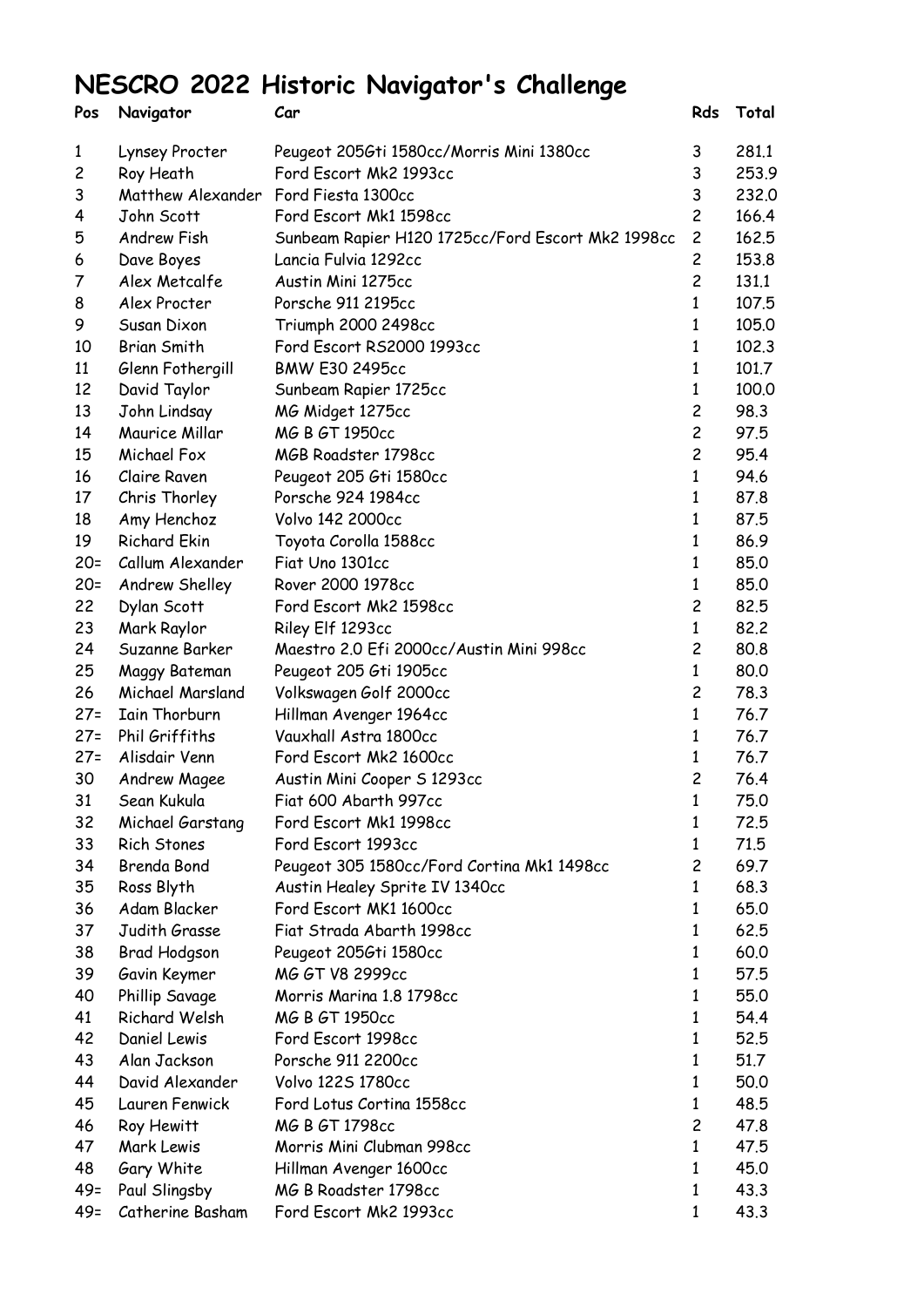## **NESCRO 2022 Historic Navigator's Challenge**

| Pos    | Navigator                            | Car                                               | Rds            | Total |
|--------|--------------------------------------|---------------------------------------------------|----------------|-------|
| 1      | Lynsey Procter                       | Peugeot 2056ti 1580cc/Morris Mini 1380cc          | 3              | 281.1 |
| 2      | Roy Heath                            | Ford Escort Mk2 1993cc                            | 3              | 253.9 |
| 3      | Matthew Alexander Ford Fiesta 1300cc |                                                   | 3              | 232,0 |
| 4      | John Scott                           | Ford Escort Mk1 1598cc                            | $\overline{c}$ | 166.4 |
| 5      | Andrew Fish                          | Sunbeam Rapier H120 1725cc/Ford Escort Mk2 1998cc | $\overline{c}$ | 162.5 |
| 6      | Dave Boyes                           | Lancia Fulvia 1292cc                              | $\overline{c}$ | 153.8 |
| 7      | Alex Metcalfe                        | Austin Mini 1275cc                                | $\overline{c}$ | 131.1 |
| 8      | Alex Procter                         | Porsche 911 2195cc                                | 1              | 107.5 |
| 9      | Susan Dixon                          | Triumph 2000 2498cc                               | 1              | 105.0 |
| 10     | <b>Brian Smith</b>                   | Ford Escort RS2000 1993cc                         | $\mathbf 1$    | 102.3 |
| 11     | Glenn Fothergill                     | BMW E30 2495cc                                    | 1              | 101.7 |
| 12     | David Taylor                         | Sunbeam Rapier 1725cc                             | 1              | 100.0 |
| 13     | John Lindsay                         | MG Midget 1275cc                                  | $\overline{c}$ | 98.3  |
| 14     | Maurice Millar                       | MG B GT 1950cc                                    | $\overline{c}$ | 97.5  |
| 15     | Michael Fox                          | MGB Roadster 1798cc                               | $\overline{c}$ | 95.4  |
| 16     | Claire Raven                         | Peugeot 205 Gti 1580cc                            | $\mathbf{1}$   | 94.6  |
| 17     | Chris Thorley                        | Porsche 924 1984cc                                | 1              | 87.8  |
| 18     | Amy Henchoz                          | Volvo 142 2000cc                                  | 1              | 87.5  |
| 19     | <b>Richard Ekin</b>                  | Toyota Corolla 1588cc                             | $\mathbf{1}$   | 86.9  |
| $20 =$ | Callum Alexander                     | Fiat Uno 1301cc                                   | 1              | 85.0  |
| $20 =$ | Andrew Shelley                       | Rover 2000 1978cc                                 | 1              | 85.0  |
| 22     | Dylan Scott                          | Ford Escort Mk2 1598cc                            | $\overline{c}$ | 82.5  |
| 23     | Mark Raylor                          | Riley Elf 1293cc                                  | 1              | 82.2  |
| 24     | Suzanne Barker                       | Maestro 2.0 Efi 2000cc/Austin Mini 998cc          | $\overline{c}$ | 80.8  |
| 25     | Maggy Bateman                        | Peugeot 205 Gti 1905cc                            | 1              | 80.0  |
| 26     | Michael Marsland                     | Volkswagen Golf 2000cc                            | $\overline{c}$ | 78.3  |
| $27 =$ | Iain Thorburn                        | Hillman Avenger 1964cc                            | $\mathbf{1}$   | 76.7  |
| $27 =$ | Phil Griffiths                       | Vauxhall Astra 1800cc                             | 1              | 76.7  |
| $27 =$ | Alisdair Venn                        | Ford Escort Mk2 1600cc                            | 1              | 76.7  |
| 30     | Andrew Magee                         | Austin Mini Cooper S 1293cc                       | $\overline{c}$ | 76.4  |
| 31     | Sean Kukula                          | Fiat 600 Abarth 997cc                             |                | 75.0  |
| 32     | Michael Garstang                     | Ford Escort Mk1 1998cc                            | 1              | 72.5  |
| 33     | Rich Stones                          | Ford Escort 1993cc                                | 1              | 71.5  |
| 34     | Brenda Bond                          | Peugeot 305 1580cc/Ford Cortina Mk1 1498cc        | 2              | 69.7  |
| 35     | Ross Blyth                           | Austin Healey Sprite IV 1340cc                    | 1              | 68.3  |
| 36     | Adam Blacker                         | Ford Escort MK1 1600cc                            | 1              | 65.0  |
| 37     | Judith Grasse                        | Fiat Strada Abarth 1998cc                         | 1              | 62.5  |
| 38     | Brad Hodgson                         | Peugeot 2056ti 1580cc                             | 1              | 60.0  |
| 39     | Gavin Keymer                         | MG GT V8 2999cc                                   | 1              | 57.5  |
| 40     | Phillip Savage                       | Morris Marina 1.8 1798cc                          | 1              | 55.0  |
| 41     | Richard Welsh                        | MG B GT 1950cc                                    | 1              | 54.4  |
| 42     | Daniel Lewis                         | Ford Escort 1998cc                                | 1              | 52.5  |
| 43     | Alan Jackson                         | Porsche 911 2200cc                                | 1              | 51.7  |
| 44     | David Alexander                      | Volvo 1225 1780cc                                 | $\mathbf{1}$   | 50.0  |
| 45     | Lauren Fenwick                       | Ford Lotus Cortina 1558cc                         | 1              | 48.5  |
| 46     | Roy Hewitt                           | MG B GT 1798cc                                    | 2              | 47.8  |
| 47     | Mark Lewis                           | Morris Mini Clubman 998cc                         | 1              | 47.5  |
| 48     | Gary White                           | Hillman Avenger 1600cc                            | 1              | 45.0  |
| $49=$  | Paul Slingsby                        | MG B Roadster 1798cc                              | 1              | 43.3  |
| $49 =$ | Catherine Basham                     | Ford Escort Mk2 1993cc                            | 1              | 43.3  |